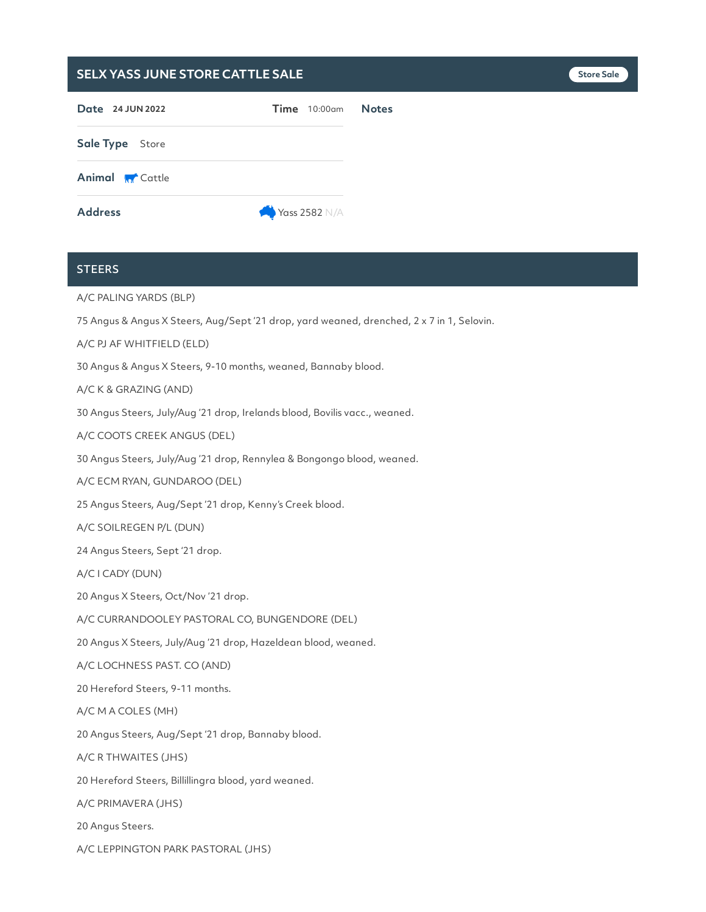| SELX YASS JUNE STORE CATTLE SALE |                   |              | <b>Store Sale</b> |
|----------------------------------|-------------------|--------------|-------------------|
| Date 24 JUN 2022                 | $Time$ 10:00 $am$ | <b>Notes</b> |                   |
| Sale Type Store                  |                   |              |                   |
| <b>Animal M</b> Cattle           |                   |              |                   |
| <b>Address</b>                   | Yass 2582 N/A     |              |                   |

## **STEERS**

A/C PALING YARDS (BLP)

75 Angus & Angus X Steers, Aug/Sept '21 drop, yard weaned, drenched, 2 x 7 in 1, Selovin.

A/C PJ AF WHITFIELD (ELD)

30 Angus & Angus X Steers, 9-10 months, weaned, Bannaby blood.

A/C K & GRAZING (AND)

30 Angus Steers, July/Aug '21 drop, Irelands blood, Bovilis vacc., weaned.

A/C COOTS CREEK ANGUS (DEL)

30 Angus Steers, July/Aug '21 drop, Rennylea & Bongongo blood, weaned.

A/C ECM RYAN, GUNDAROO (DEL)

25 Angus Steers, Aug/Sept '21 drop, Kenny's Creek blood.

A/C SOILREGEN P/L (DUN)

24 Angus Steers, Sept '21 drop.

A/C ICADY (DUN)

20 Angus X Steers, Oct/Nov '21 drop.

A/C CURRANDOOLEY PASTORAL CO, BUNGENDORE (DEL)

20 Angus X Steers, July/Aug '21 drop, Hazeldean blood, weaned.

A/C LOCHNESS PAST. CO (AND)

20 Hereford Steers, 9-11 months.

A/C M A COLES (MH)

20 Angus Steers, Aug/Sept '21 drop, Bannaby blood.

A/C R THWAITES (JHS)

20 Hereford Steers, Billillingra blood, yard weaned.

A/C PRIMAVERA (JHS)

20 Angus Steers.

A/C LEPPINGTON PARK PASTORAL (JHS)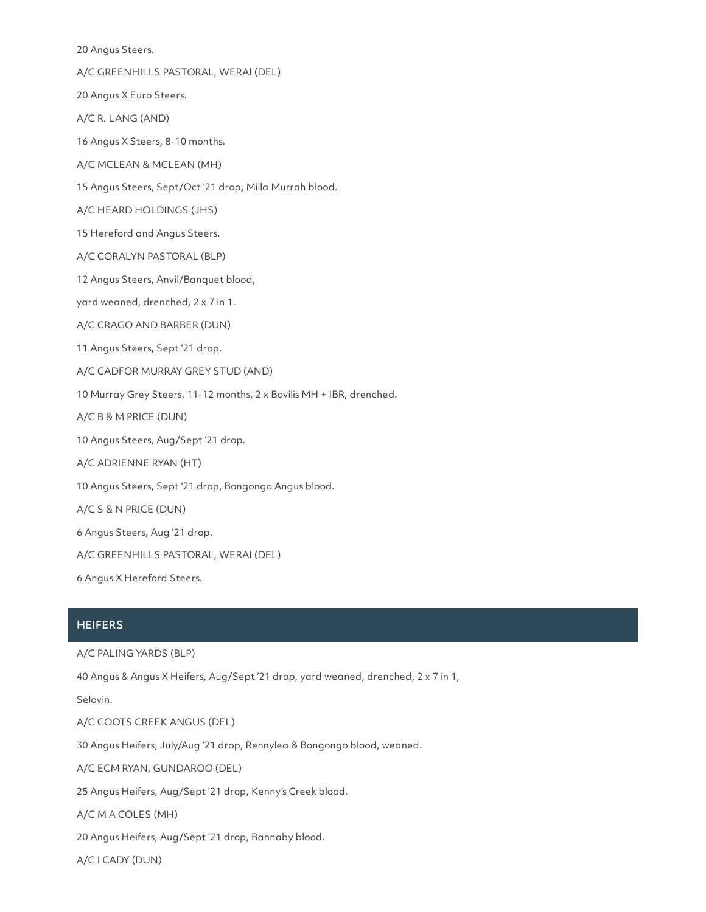20 Angus Steers.

A/C GREENHILLS PASTORAL, WERAI (DEL)

20 Angus X Euro Steers.

A/C R. LANG (AND)

16 Angus X Steers, 8-10 months.

A/C MCLEAN & MCLEAN (MH)

15 Angus Steers, Sept/Oct '21 drop, Milla Murrah blood.

A/C HEARD HOLDINGS (JHS)

15 Hereford and Angus Steers.

A/C CORALYN PASTORAL (BLP)

12 Angus Steers, Anvil/Banquet blood,

yard weaned, drenched, 2 x 7 in 1.

A/C CRAGO AND BARBER (DUN)

11 Angus Steers, Sept '21 drop.

A/C CADFOR MURRAY GREY STUD (AND)

10 Murray Grey Steers, 11-12 months, 2 x Bovilis MH + IBR, drenched.

A/C B & M PRICE (DUN)

10 Angus Steers, Aug/Sept '21 drop.

A/C ADRIENNE RYAN (HT)

10 Angus Steers, Sept '21 drop, Bongongo Angus blood.

A/C S & N PRICE (DUN)

6 Angus Steers, Aug '21 drop.

A/C GREENHILLS PASTORAL, WERAI (DEL)

6 Angus X Hereford Steers.

### **HEIFERS**

A/C PALING YARDS (BLP)

40 Angus & Angus X Heifers, Aug/Sept '21 drop, yard weaned, drenched, 2 x 7 in 1,

Selovin.

A/C COOTS CREEK ANGUS (DEL)

30 Angus Heifers, July/Aug '21 drop, Rennylea & Bongongo blood, weaned.

A/C ECM RYAN, GUNDAROO (DEL)

25 Angus Heifers, Aug/Sept '21 drop, Kenny's Creek blood.

A/C M A COLES (MH)

20 Angus Heifers, Aug/Sept '21 drop, Bannaby blood.

A/C ICADY (DUN)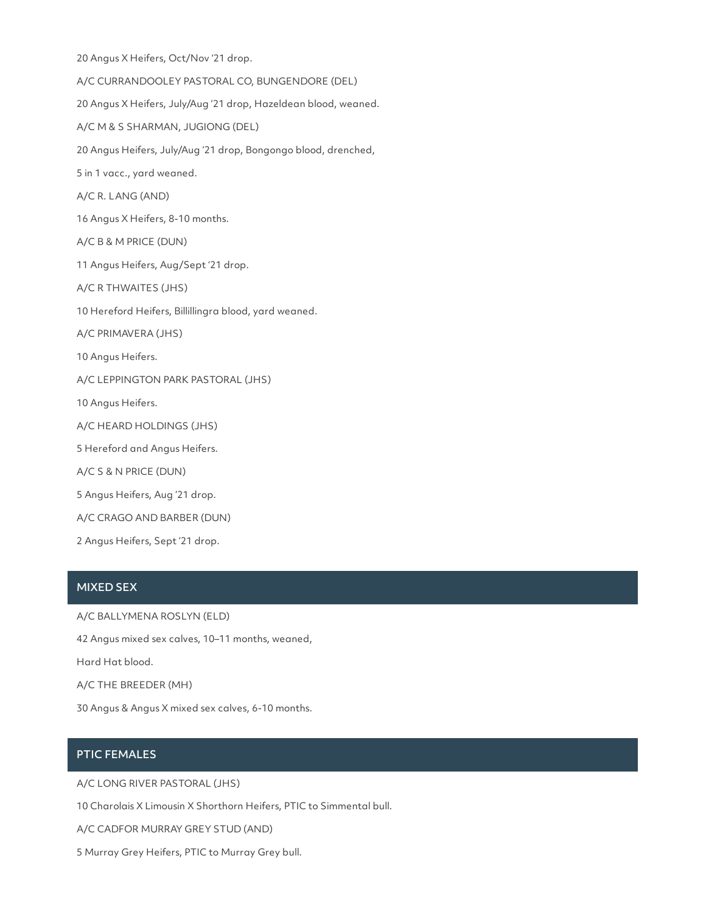20 Angus X Heifers, Oct/Nov '21 drop. A/C CURRANDOOLEY PASTORAL CO, BUNGENDORE (DEL) 20 Angus X Heifers, July/Aug '21 drop, Hazeldean blood, weaned. A/C M & S SHARMAN, JUGIONG (DEL) 20 Angus Heifers, July/Aug '21 drop, Bongongo blood, drenched, 5 in 1 vacc., yard weaned. A/C R. LANG (AND) 16 Angus X Heifers, 8-10 months. A/C B & M PRICE (DUN) 11 Angus Heifers, Aug/Sept '21 drop. A/C R THWAITES (JHS) 10 Hereford Heifers, Billillingra blood, yard weaned. A/C PRIMAVERA (JHS) 10 Angus Heifers. A/C LEPPINGTON PARK PASTORAL (JHS) 10 Angus Heifers. A/C HEARD HOLDINGS (JHS) 5 Hereford and Angus Heifers. A/C S & N PRICE (DUN) 5 Angus Heifers, Aug '21 drop. A/C CRAGO AND BARBER (DUN) 2 Angus Heifers, Sept '21 drop.

## MIXED SEX

A/C BALLYMENA ROSLYN (ELD)

42 Angus mixed sex calves, 10–11 months, weaned,

Hard Hat blood.

A/C THE BREEDER (MH)

30 Angus & Angus X mixed sex calves, 6-10 months.

## PTIC FEMALES

A/C LONG RIVER PASTORAL (JHS)

10 Charolais X Limousin X Shorthorn Heifers, PTIC to Simmental bull.

A/C CADFOR MURRAY GREY STUD (AND)

5 Murray Grey Heifers, PTIC to Murray Grey bull.